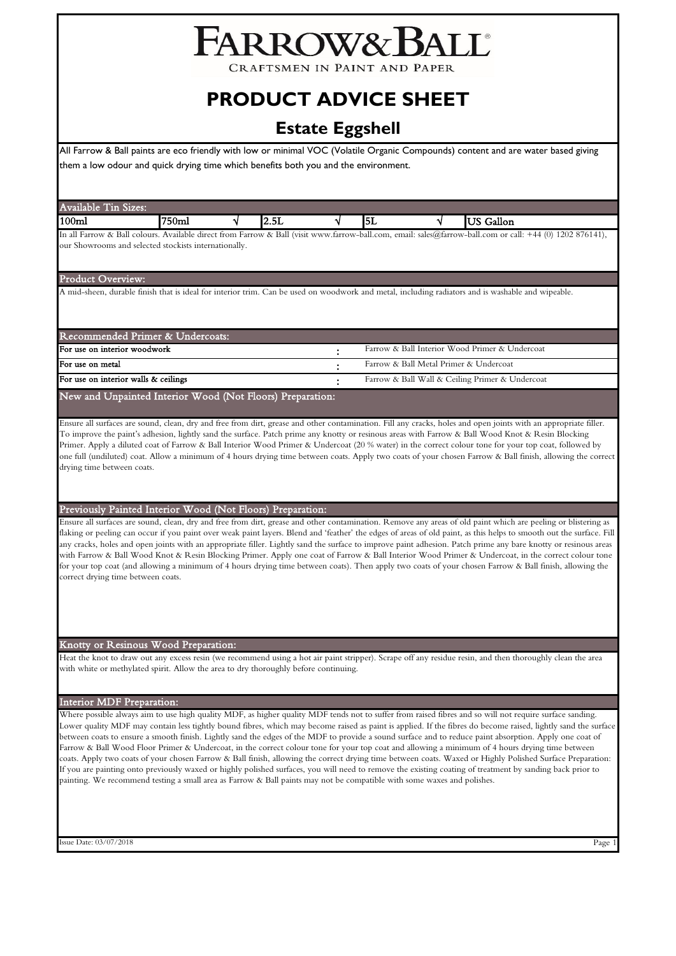# FARROW&BALL

CRAFTSMEN IN PAINT AND PAPEI

# **PRODUCT ADVICE SHEET**

# **Estate Eggshell**

All Farrow & Ball paints are eco friendly with low or minimal VOC (Volatile Organic Compounds) content and are water based giving them a low odour and quick drying time which benefits both you and the environment.

# Available Tin Sizes:

| $100\mathrm{m}$                               | '50mi                    |                   | -<br><i>a.j</i>       |          |            |        | Fallor                                                                            |
|-----------------------------------------------|--------------------------|-------------------|-----------------------|----------|------------|--------|-----------------------------------------------------------------------------------|
| In all<br>colours.<br>rarrow<br>- Bah<br>` XX | Available<br>direct from | - Farrow <i>N</i> | Ball<br>(visit www.). | ∴tarrow- | -ball.com. | email: | 1202<br>$\sim$<br>: sales( <i>a</i> ):tarrow-ball.com or<br>call:<br>-44<br>11111 |

our Showrooms and selected stockists internationally.

# Product Overview:

A mid-sheen, durable finish that is ideal for interior trim. Can be used on woodwork and metal, including radiators and is washable and wipeable.

| Recommended Primer & Undercoats:     |                                                 |
|--------------------------------------|-------------------------------------------------|
| For use on interior woodwork         | Farrow & Ball Interior Wood Primer & Undercoat  |
| For use on metal                     | Farrow & Ball Metal Primer & Undercoat          |
| For use on interior walls & ceilings | Farrow & Ball Wall & Ceiling Primer & Undercoat |
|                                      |                                                 |

# New and Unpainted Interior Wood (Not Floors) Preparation:

Ensure all surfaces are sound, clean, dry and free from dirt, grease and other contamination. Fill any cracks, holes and open joints with an appropriate filler. To improve the paint's adhesion, lightly sand the surface. Patch prime any knotty or resinous areas with Farrow & Ball Wood Knot & Resin Blocking Primer. Apply a diluted coat of Farrow & Ball Interior Wood Primer & Undercoat (20 % water) in the correct colour tone for your top coat, followed by one full (undiluted) coat. Allow a minimum of 4 hours drying time between coats. Apply two coats of your chosen Farrow & Ball finish, allowing the correct drying time between coats.

# Previously Painted Interior Wood (Not Floors) Preparation:

Ensure all surfaces are sound, clean, dry and free from dirt, grease and other contamination. Remove any areas of old paint which are peeling or blistering as flaking or peeling can occur if you paint over weak paint layers. Blend and 'feather' the edges of areas of old paint, as this helps to smooth out the surface. Fill any cracks, holes and open joints with an appropriate filler. Lightly sand the surface to improve paint adhesion. Patch prime any bare knotty or resinous areas with Farrow & Ball Wood Knot & Resin Blocking Primer. Apply one coat of Farrow & Ball Interior Wood Primer & Undercoat, in the correct colour tone for your top coat (and allowing a minimum of 4 hours drying time between coats). Then apply two coats of your chosen Farrow & Ball finish, allowing the correct drying time between coats.

# Knotty or Resinous Wood Preparation:

Heat the knot to draw out any excess resin (we recommend using a hot air paint stripper). Scrape off any residue resin, and then thoroughly clean the area with white or methylated spirit. Allow the area to dry thoroughly before continuing.

# Interior MDF Preparation:

Where possible always aim to use high quality MDF, as higher quality MDF tends not to suffer from raised fibres and so will not require surface sanding. Lower quality MDF may contain less tightly bound fibres, which may become raised as paint is applied. If the fibres do become raised, lightly sand the surface between coats to ensure a smooth finish. Lightly sand the edges of the MDF to provide a sound surface and to reduce paint absorption. Apply one coat of Farrow & Ball Wood Floor Primer & Undercoat, in the correct colour tone for your top coat and allowing a minimum of 4 hours drying time between coats. Apply two coats of your chosen Farrow & Ball finish, allowing the correct drying time between coats. Waxed or Highly Polished Surface Preparation: If you are painting onto previously waxed or highly polished surfaces, you will need to remove the existing coating of treatment by sanding back prior to painting. We recommend testing a small area as Farrow & Ball paints may not be compatible with some waxes and polishes.

Issue Date: 03/07/2018 Page 1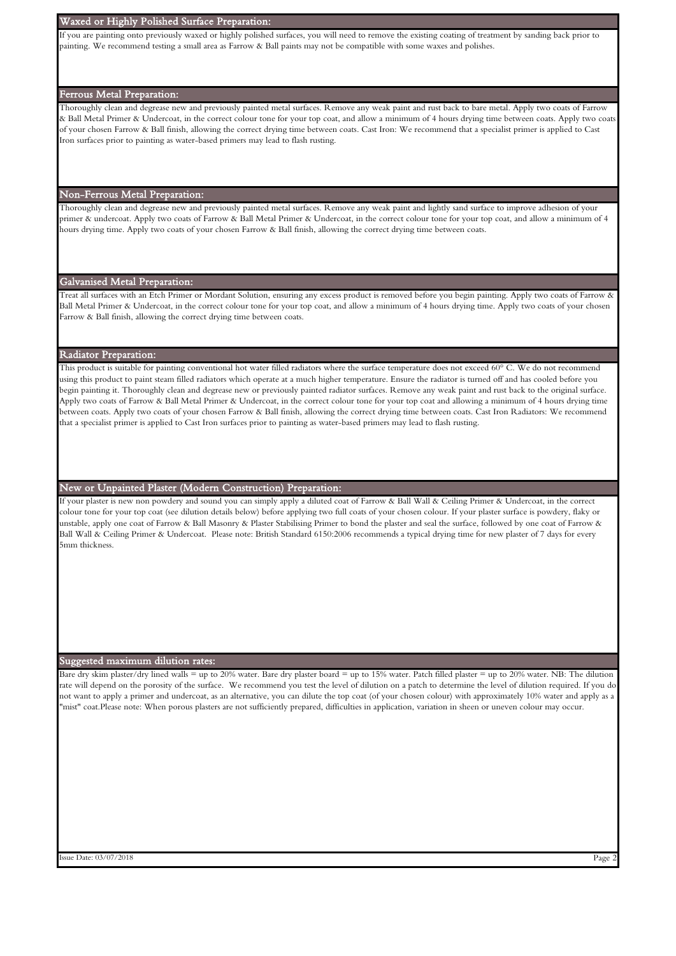#### Waxed or Highly Polished Surface Preparation:

If you are painting onto previously waxed or highly polished surfaces, you will need to remove the existing coating of treatment by sanding back prior to painting. We recommend testing a small area as Farrow & Ball paints may not be compatible with some waxes and polishes.

#### Ferrous Metal Preparation:

Thoroughly clean and degrease new and previously painted metal surfaces. Remove any weak paint and rust back to bare metal. Apply two coats of Farrow & Ball Metal Primer & Undercoat, in the correct colour tone for your top coat, and allow a minimum of 4 hours drying time between coats. Apply two coats of your chosen Farrow & Ball finish, allowing the correct drying time between coats. Cast Iron: We recommend that a specialist primer is applied to Cast Iron surfaces prior to painting as water-based primers may lead to flash rusting.

# Non-Ferrous Metal Preparation:

Thoroughly clean and degrease new and previously painted metal surfaces. Remove any weak paint and lightly sand surface to improve adhesion of your primer & undercoat. Apply two coats of Farrow & Ball Metal Primer & Undercoat, in the correct colour tone for your top coat, and allow a minimum of 4 hours drying time. Apply two coats of your chosen Farrow & Ball finish, allowing the correct drying time between coats.

# Galvanised Metal Preparation:

Treat all surfaces with an Etch Primer or Mordant Solution, ensuring any excess product is removed before you begin painting. Apply two coats of Farrow & Ball Metal Primer & Undercoat, in the correct colour tone for your top coat, and allow a minimum of 4 hours drying time. Apply two coats of your chosen Farrow & Ball finish, allowing the correct drying time between coats.

## Radiator Preparation:

This product is suitable for painting conventional hot water filled radiators where the surface temperature does not exceed 60° C. We do not recommend using this product to paint steam filled radiators which operate at a much higher temperature. Ensure the radiator is turned off and has cooled before you begin painting it. Thoroughly clean and degrease new or previously painted radiator surfaces. Remove any weak paint and rust back to the original surface. Apply two coats of Farrow & Ball Metal Primer & Undercoat, in the correct colour tone for your top coat and allowing a minimum of 4 hours drying time between coats. Apply two coats of your chosen Farrow & Ball finish, allowing the correct drying time between coats. Cast Iron Radiators: We recommend that a specialist primer is applied to Cast Iron surfaces prior to painting as water-based primers may lead to flash rusting.

## New or Unpainted Plaster (Modern Construction) Preparation:

If your plaster is new non powdery and sound you can simply apply a diluted coat of Farrow & Ball Wall & Ceiling Primer & Undercoat, in the correct colour tone for your top coat (see dilution details below) before applying two full coats of your chosen colour. If your plaster surface is powdery, flaky or unstable, apply one coat of Farrow & Ball Masonry & Plaster Stabilising Primer to bond the plaster and seal the surface, followed by one coat of Farrow & Ball Wall & Ceiling Primer & Undercoat. Please note: British Standard 6150:2006 recommends a typical drying time for new plaster of 7 days for every 5mm thickness.

# Suggested maximum dilution rates:

Bare dry skim plaster/dry lined walls = up to 20% water. Bare dry plaster board = up to 15% water. Patch filled plaster = up to 20% water. NB: The dilution rate will depend on the porosity of the surface. We recommend you test the level of dilution on a patch to determine the level of dilution required. If you do not want to apply a primer and undercoat, as an alternative, you can dilute the top coat (of your chosen colour) with approximately 10% water and apply as a "mist" coat.Please note: When porous plasters are not sufficiently prepared, difficulties in application, variation in sheen or uneven colour may occur.

Issue Date: 03/07/2018 Page 2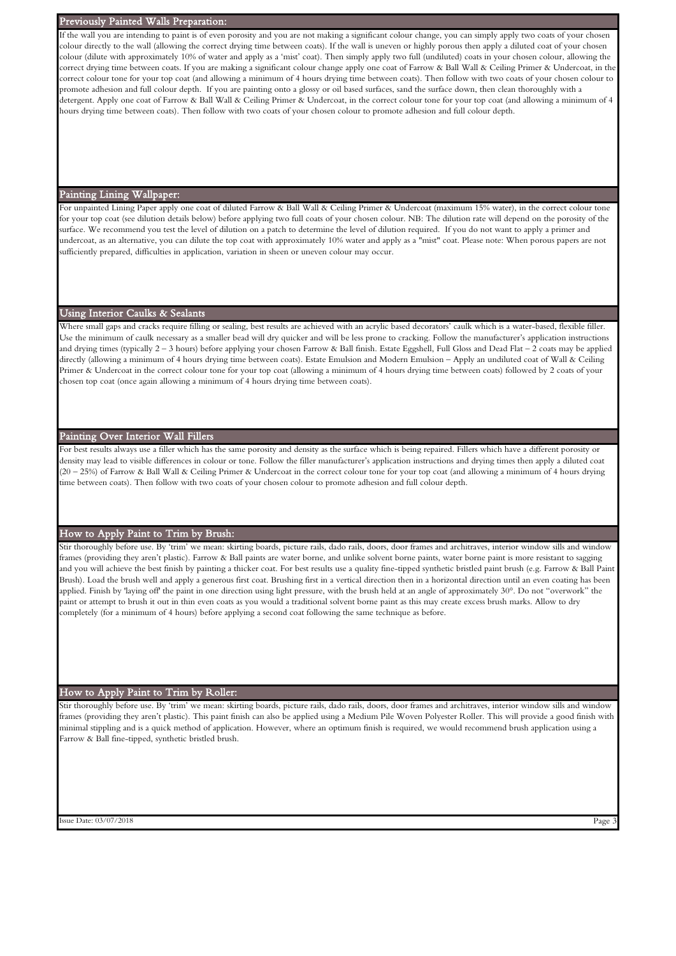## Previously Painted Walls Preparation:

If the wall you are intending to paint is of even porosity and you are not making a significant colour change, you can simply apply two coats of your choser colour directly to the wall (allowing the correct drying time between coats). If the wall is uneven or highly porous then apply a diluted coat of your chosen colour (dilute with approximately 10% of water and apply as a 'mist' coat). Then simply apply two full (undiluted) coats in your chosen colour, allowing the correct drying time between coats. If you are making a significant colour change apply one coat of Farrow & Ball Wall & Ceiling Primer & Undercoat, in th correct colour tone for your top coat (and allowing a minimum of 4 hours drying time between coats). Then follow with two coats of your chosen colour to promote adhesion and full colour depth. If you are painting onto a glossy or oil based surfaces, sand the surface down, then clean thoroughly with a detergent. Apply one coat of Farrow & Ball Wall & Ceiling Primer & Undercoat, in the correct colour tone for your top coat (and allowing a minimum of 4 hours drying time between coats). Then follow with two coats of your chosen colour to promote adhesion and full colour depth.

#### Painting Lining Wallpaper:

For unpainted Lining Paper apply one coat of diluted Farrow & Ball Wall & Ceiling Primer & Undercoat (maximum 15% water), in the correct colour tone for your top coat (see dilution details below) before applying two full coats of your chosen colour. NB: The dilution rate will depend on the porosity of the surface. We recommend you test the level of dilution on a patch to determine the level of dilution required. If you do not want to apply a primer and undercoat, as an alternative, you can dilute the top coat with approximately 10% water and apply as a "mist" coat. Please note: When porous papers are not sufficiently prepared, difficulties in application, variation in sheen or uneven colour may occur.

# Using Interior Caulks & Sealants

Where small gaps and cracks require filling or sealing, best results are achieved with an acrylic based decorators' caulk which is a water-based, flexible filler Use the minimum of caulk necessary as a smaller bead will dry quicker and will be less prone to cracking. Follow the manufacturer's application instructions and drying times (typically 2 – 3 hours) before applying your chosen Farrow & Ball finish. Estate Eggshell, Full Gloss and Dead Flat – 2 coats may be applied directly (allowing a minimum of 4 hours drying time between coats). Estate Emulsion and Modern Emulsion – Apply an undiluted coat of Wall & Ceiling Primer & Undercoat in the correct colour tone for your top coat (allowing a minimum of 4 hours drying time between coats) followed by 2 coats of your chosen top coat (once again allowing a minimum of 4 hours drying time between coats).

## Painting Over Interior Wall Fillers

For best results always use a filler which has the same porosity and density as the surface which is being repaired. Fillers which have a different porosity or density may lead to visible differences in colour or tone. Follow the filler manufacturer's application instructions and drying times then apply a diluted coat (20 – 25%) of Farrow & Ball Wall & Ceiling Primer & Undercoat in the correct colour tone for your top coat (and allowing a minimum of 4 hours drying time between coats). Then follow with two coats of your chosen colour to promote adhesion and full colour depth.

# How to Apply Paint to Trim by Brush:

Stir thoroughly before use. By 'trim' we mean: skirting boards, picture rails, dado rails, doors, door frames and architraves, interior window sills and window frames (providing they aren't plastic). Farrow & Ball paints are water borne, and unlike solvent borne paints, water borne paint is more resistant to sagging and you will achieve the best finish by painting a thicker coat. For best results use a quality fine-tipped synthetic bristled paint brush (e.g. Farrow & Ball Paint Brush). Load the brush well and apply a generous first coat. Brushing first in a vertical direction then in a horizontal direction until an even coating has been applied. Finish by 'laying off' the paint in one direction using light pressure, with the brush held at an angle of approximately 30°. Do not "overwork" the paint or attempt to brush it out in thin even coats as you would a traditional solvent borne paint as this may create excess brush marks. Allow to dry completely (for a minimum of 4 hours) before applying a second coat following the same technique as before.

#### How to Apply Paint to Trim by Roller:

Stir thoroughly before use. By 'trim' we mean: skirting boards, picture rails, dado rails, doors, door frames and architraves, interior window sills and window frames (providing they aren't plastic). This paint finish can also be applied using a Medium Pile Woven Polyester Roller. This will provide a good finish with minimal stippling and is a quick method of application. However, where an optimum finish is required, we would recommend brush application using a Farrow & Ball fine-tipped, synthetic bristled brush.

Issue Date: 03/07/2018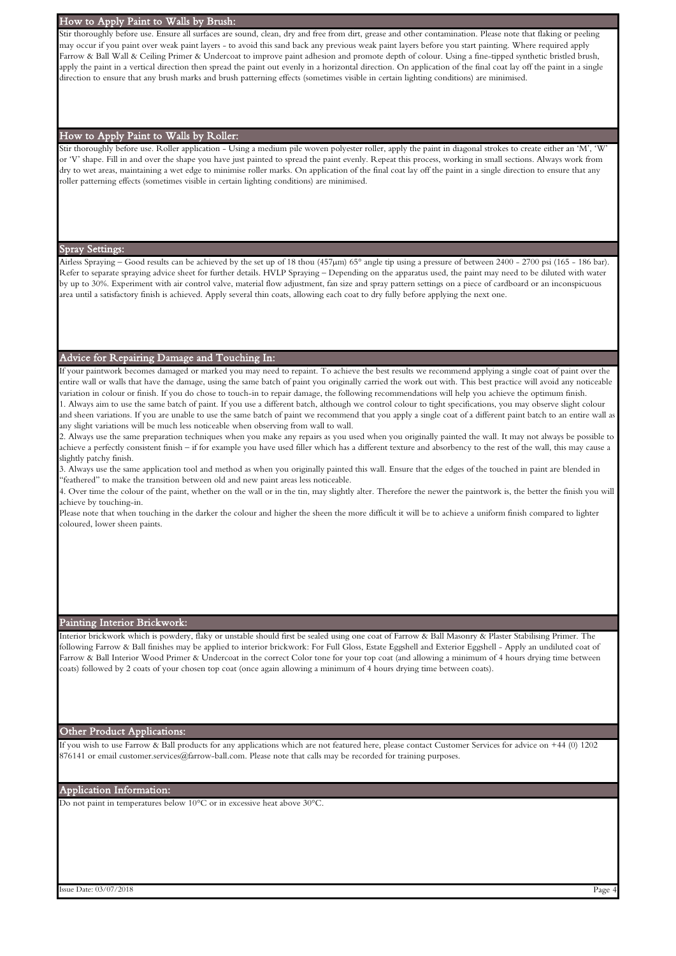# How to Apply Paint to Walls by Brush:

Stir thoroughly before use. Ensure all surfaces are sound, clean, dry and free from dirt, grease and other contamination. Please note that flaking or peeling may occur if you paint over weak paint layers - to avoid this sand back any previous weak paint layers before you start painting. Where required apply Farrow & Ball Wall & Ceiling Primer & Undercoat to improve paint adhesion and promote depth of colour. Using a fine-tipped synthetic bristled brush, apply the paint in a vertical direction then spread the paint out evenly in a horizontal direction. On application of the final coat lay off the paint in a single direction to ensure that any brush marks and brush patterning effects (sometimes visible in certain lighting conditions) are minimised.

#### How to Apply Paint to Walls by Roller:

Stir thoroughly before use. Roller application - Using a medium pile woven polyester roller, apply the paint in diagonal strokes to create either an 'M', 'W' or 'V' shape. Fill in and over the shape you have just painted to spread the paint evenly. Repeat this process, working in small sections. Always work from dry to wet areas, maintaining a wet edge to minimise roller marks. On application of the final coat lay off the paint in a single direction to ensure that any roller patterning effects (sometimes visible in certain lighting conditions) are minimised.

# Spray Settings:

Airless Spraying – Good results can be achieved by the set up of 18 thou (457µm) 65° angle tip using a pressure of between 2400 - 2700 psi (165 - 186 bar). Refer to separate spraying advice sheet for further details. HVLP Spraying – Depending on the apparatus used, the paint may need to be diluted with water by up to 30%. Experiment with air control valve, material flow adjustment, fan size and spray pattern settings on a piece of cardboard or an inconspicuous area until a satisfactory finish is achieved. Apply several thin coats, allowing each coat to dry fully before applying the next one.

## Advice for Repairing Damage and Touching In:

If your paintwork becomes damaged or marked you may need to repaint. To achieve the best results we recommend applying a single coat of paint over the entire wall or walls that have the damage, using the same batch of paint you originally carried the work out with. This best practice will avoid any noticeable variation in colour or finish. If you do chose to touch-in to repair damage, the following recommendations will help you achieve the optimum finish. 1. Always aim to use the same batch of paint. If you use a different batch, although we control colour to tight specifications, you may observe slight colour

and sheen variations. If you are unable to use the same batch of paint we recommend that you apply a single coat of a different paint batch to an entire wall as any slight variations will be much less noticeable when observing from wall to wall.

2. Always use the same preparation techniques when you make any repairs as you used when you originally painted the wall. It may not always be possible to achieve a perfectly consistent finish – if for example you have used filler which has a different texture and absorbency to the rest of the wall, this may cause a slightly patchy finish.

3. Always use the same application tool and method as when you originally painted this wall. Ensure that the edges of the touched in paint are blended in "feathered" to make the transition between old and new paint areas less noticeable.

4. Over time the colour of the paint, whether on the wall or in the tin, may slightly alter. Therefore the newer the paintwork is, the better the finish you will achieve by touching-in.

Please note that when touching in the darker the colour and higher the sheen the more difficult it will be to achieve a uniform finish compared to lighter coloured, lower sheen paints.

# Painting Interior Brickwork:

Interior brickwork which is powdery, flaky or unstable should first be sealed using one coat of Farrow & Ball Masonry & Plaster Stabilising Primer. The following Farrow & Ball finishes may be applied to interior brickwork: For Full Gloss, Estate Eggshell and Exterior Eggshell - Apply an undiluted coat of Farrow & Ball Interior Wood Primer & Undercoat in the correct Color tone for your top coat (and allowing a minimum of 4 hours drying time between coats) followed by 2 coats of your chosen top coat (once again allowing a minimum of 4 hours drying time between coats).

#### Other Product Applications:

If you wish to use Farrow & Ball products for any applications which are not featured here, please contact Customer Services for advice on +44 (0) 1202 876141 or email customer.services@farrow-ball.com. Please note that calls may be recorded for training purposes.

## Application Information:

Do not paint in temperatures below 10°C or in excessive heat above 30°C.